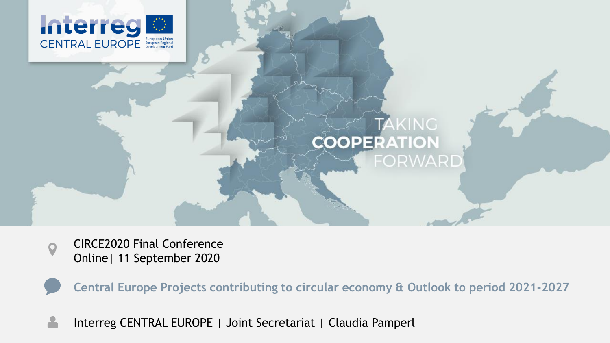



CIRCE2020 Final Conference Online| 11 September 2020

**Central Europe Projects contributing to circular economy & Outlook to period 2021-2027**

Interreg CENTRAL EUROPE | Joint Secretariat | Claudia Pamperl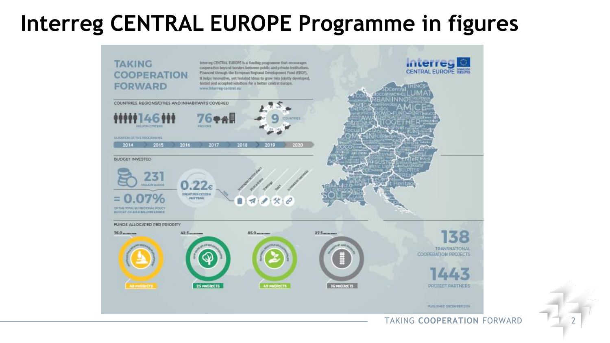#### **Interreg CENTRAL EUROPE Programme in figures**

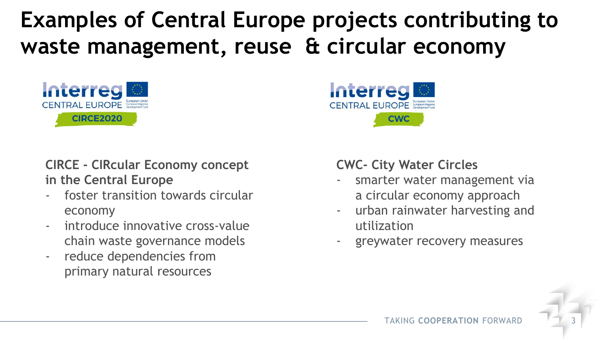**Examples of Central Europe projects contributing to waste management, reuse & circular economy**





#### **CIRCE - CIRcular Economy concept in the Central Europe**

- foster transition towards circular economy
- introduce innovative cross-value chain waste governance models
- reduce dependencies from primary natural resources

#### **CWC- City Water Circles**

- smarter water management via a circular economy approach
- urban rainwater harvesting and utilization
- greywater recovery measures

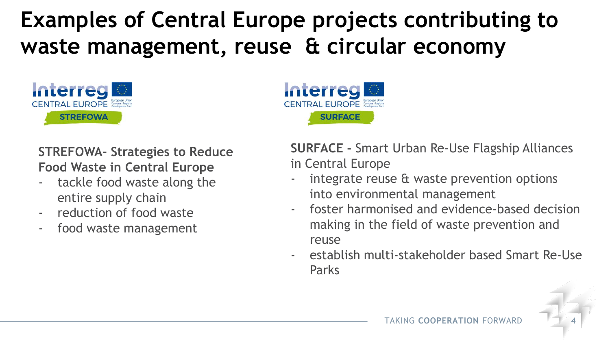### **Examples of Central Europe projects contributing to waste management, reuse & circular economy**



**STREFOWA- Strategies to Reduce Food Waste in Central Europe**

- tackle food waste along the entire supply chain
- reduction of food waste
- food waste management

**SURFACE SURFACE -** Smart Urban Re-Use Flagship Alliances

in Central Europe

**Interreg** 

**CENTDAI FIIDODE** European Regional

- integrate reuse & waste prevention options into environmental management
- foster harmonised and evidence-based decision making in the field of waste prevention and reuse
- establish multi-stakeholder based Smart Re-Use Parks

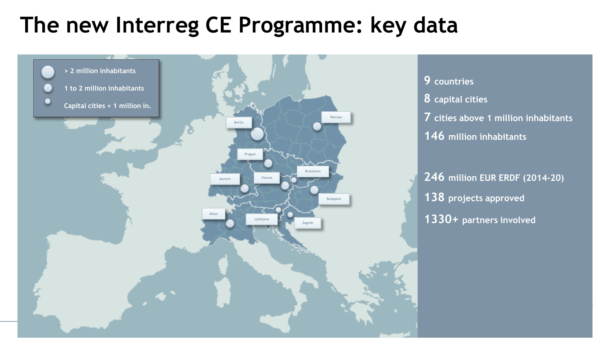#### **The new Interreg CE Programme: key data**

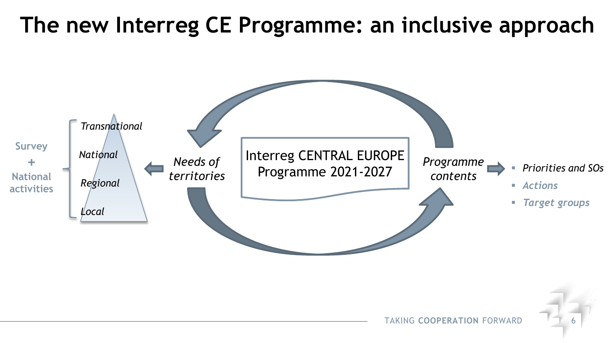#### **The new Interreg CE Programme: an inclusive approach**

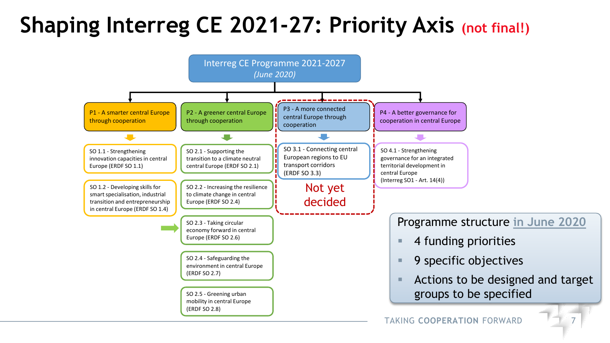### **Shaping Interreg CE 2021-27: Priority Axis (not final!)**

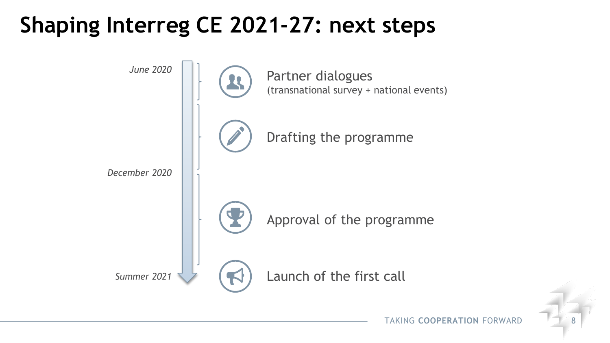#### **Shaping Interreg CE 2021-27: next steps**



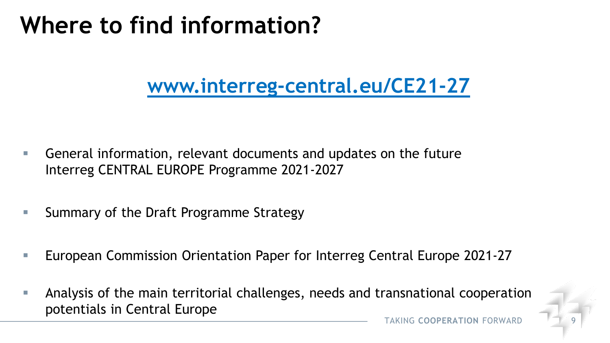## **Where to find information?**

#### **www.interreg-central.eu/CE21-27**

- General information, relevant documents and updates on the future Interreg CENTRAL EUROPE Programme 2021-2027
- Summary of the Draft Programme Strategy
- European Commission Orientation Paper for Interreg Central Europe 2021-27
- Analysis of the main territorial challenges, needs and transnational cooperation potentials in Central Europe